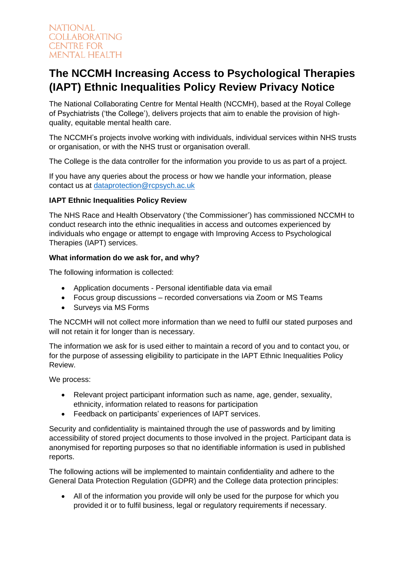# **The NCCMH Increasing Access to Psychological Therapies (IAPT) Ethnic Inequalities Policy Review Privacy Notice**

The National Collaborating Centre for Mental Health (NCCMH), based at the Royal College of Psychiatrists ('the College'), delivers projects that aim to enable the provision of highquality, equitable mental health care.

The NCCMH's projects involve working with individuals, individual services within NHS trusts or organisation, or with the NHS trust or organisation overall.

The College is the data controller for the information you provide to us as part of a project.

If you have any queries about the process or how we handle your information, please contact us at [dataprotection@rcpsych.ac.uk](about:blank)

## **IAPT Ethnic Inequalities Policy Review**

The NHS Race and Health Observatory ('the Commissioner') has commissioned NCCMH to conduct research into the ethnic inequalities in access and outcomes experienced by individuals who engage or attempt to engage with Improving Access to Psychological Therapies (IAPT) services.

## **What information do we ask for, and why?**

The following information is collected:

- Application documents Personal identifiable data via email
- Focus group discussions recorded conversations via Zoom or MS Teams
- Surveys via MS Forms

The NCCMH will not collect more information than we need to fulfil our stated purposes and will not retain it for longer than is necessary.

The information we ask for is used either to maintain a record of you and to contact you, or for the purpose of assessing eligibility to participate in the IAPT Ethnic Inequalities Policy Review.

We process:

- Relevant project participant information such as name, age, gender, sexuality, ethnicity, information related to reasons for participation
- Feedback on participants' experiences of IAPT services.

Security and confidentiality is maintained through the use of passwords and by limiting accessibility of stored project documents to those involved in the project. Participant data is anonymised for reporting purposes so that no identifiable information is used in published reports.

The following actions will be implemented to maintain confidentiality and adhere to the General Data Protection Regulation (GDPR) and the College data protection principles:

• All of the information you provide will only be used for the purpose for which you provided it or to fulfil business, legal or regulatory requirements if necessary.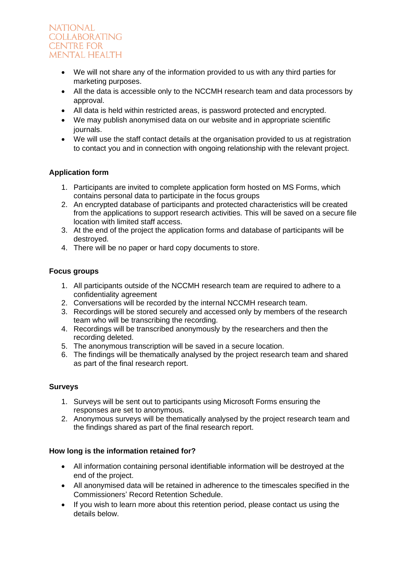- We will not share any of the information provided to us with any third parties for marketing purposes.
- All the data is accessible only to the NCCMH research team and data processors by approval.
- All data is held within restricted areas, is password protected and encrypted.
- We may publish anonymised data on our website and in appropriate scientific journals.
- We will use the staff contact details at the organisation provided to us at registration to contact you and in connection with ongoing relationship with the relevant project.

# **Application form**

- 1. Participants are invited to complete application form hosted on MS Forms, which contains personal data to participate in the focus groups
- 2. An encrypted database of participants and protected characteristics will be created from the applications to support research activities. This will be saved on a secure file location with limited staff access.
- 3. At the end of the project the application forms and database of participants will be destroyed.
- 4. There will be no paper or hard copy documents to store.

#### **Focus groups**

- 1. All participants outside of the NCCMH research team are required to adhere to a confidentiality agreement
- 2. Conversations will be recorded by the internal NCCMH research team.
- 3. Recordings will be stored securely and accessed only by members of the research team who will be transcribing the recording.
- 4. Recordings will be transcribed anonymously by the researchers and then the recording deleted.
- 5. The anonymous transcription will be saved in a secure location.
- 6. The findings will be thematically analysed by the project research team and shared as part of the final research report.

#### **Surveys**

- 1. Surveys will be sent out to participants using Microsoft Forms ensuring the responses are set to anonymous.
- 2. Anonymous surveys will be thematically analysed by the project research team and the findings shared as part of the final research report.

#### **How long is the information retained for?**

- All information containing personal identifiable information will be destroyed at the end of the project.
- All anonymised data will be retained in adherence to the timescales specified in the Commissioners' Record Retention Schedule.
- If you wish to learn more about this retention period, please contact us using the details below.